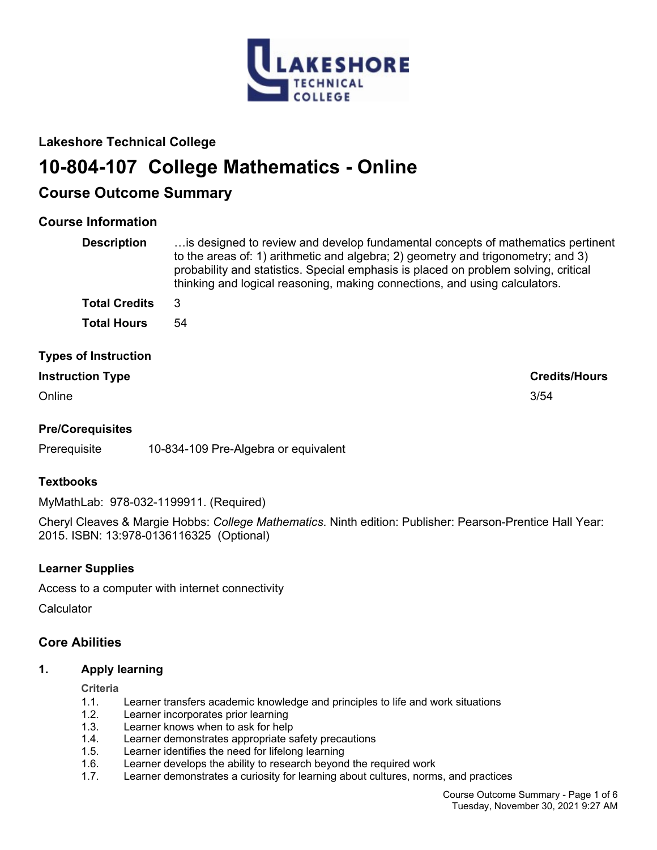

# **Lakeshore Technical College**

# **10-804-107 College Mathematics - Online**

# **Course Outcome Summary**

# **Course Information**

| <b>Description</b>          | is designed to review and develop fundamental concepts of mathematics pertinent<br>to the areas of: 1) arithmetic and algebra; 2) geometry and trigonometry; and 3)<br>probability and statistics. Special emphasis is placed on problem solving, critical<br>thinking and logical reasoning, making connections, and using calculators. |
|-----------------------------|------------------------------------------------------------------------------------------------------------------------------------------------------------------------------------------------------------------------------------------------------------------------------------------------------------------------------------------|
| <b>Total Credits</b>        | 3                                                                                                                                                                                                                                                                                                                                        |
| <b>Total Hours</b>          | 54                                                                                                                                                                                                                                                                                                                                       |
| <b>Types of Instruction</b> |                                                                                                                                                                                                                                                                                                                                          |

# **Instruction Type Credits/Hours**

Online 3/54

# **Pre/Corequisites**

Prerequisite 10-834-109 Pre-Algebra or equivalent

# **Textbooks**

MyMathLab: 978-032-1199911. (Required)

Cheryl Cleaves & Margie Hobbs: *College Mathematics*. Ninth edition: Publisher: Pearson-Prentice Hall Year: 2015. ISBN: 13:978-0136116325 (Optional)

# **Learner Supplies**

Access to a computer with internet connectivity

**Calculator** 

# **Core Abilities**

# **1. Apply learning**

**Criteria**

- 1.1. Learner transfers academic knowledge and principles to life and work situations
- 1.2. Learner incorporates prior learning
- 1.3. Learner knows when to ask for help
- 1.4. Learner demonstrates appropriate safety precautions
- 1.5. Learner identifies the need for lifelong learning
- 1.6. Learner develops the ability to research beyond the required work
- 1.7. Learner demonstrates a curiosity for learning about cultures, norms, and practices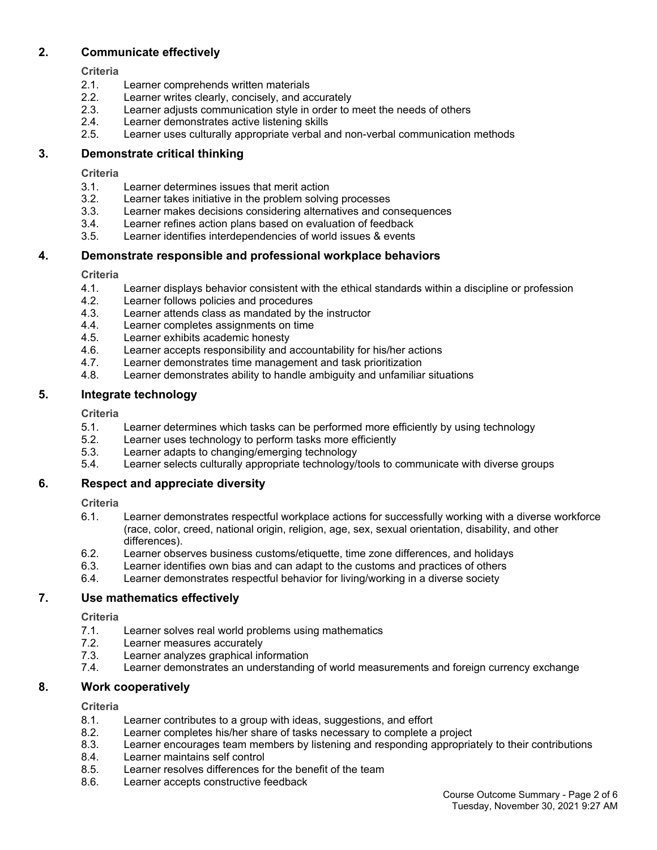# **2. Communicate effectively**

**Criteria**

- 2.1. Learner comprehends written materials
- 2.2. Learner writes clearly, concisely, and accurately
- 2.3. Learner adjusts communication style in order to meet the needs of others
- 2.4. Learner demonstrates active listening skills
- 2.5. Learner uses culturally appropriate verbal and non-verbal communication methods

# **3. Demonstrate critical thinking**

**Criteria**

- 3.1. Learner determines issues that merit action
- 3.2. Learner takes initiative in the problem solving processes
- 3.3. Learner makes decisions considering alternatives and consequences
- 3.4. Learner refines action plans based on evaluation of feedback
- 3.5. Learner identifies interdependencies of world issues & events

# **4. Demonstrate responsible and professional workplace behaviors**

**Criteria**

- 4.1. Learner displays behavior consistent with the ethical standards within a discipline or profession
- 4.2. Learner follows policies and procedures
- 4.3. Learner attends class as mandated by the instructor
- 4.4. Learner completes assignments on time
- 4.5. Learner exhibits academic honesty
- 4.6. Learner accepts responsibility and accountability for his/her actions
- 4.7. Learner demonstrates time management and task prioritization
- 4.8. Learner demonstrates ability to handle ambiguity and unfamiliar situations

# **5. Integrate technology**

**Criteria**

- 5.1. Learner determines which tasks can be performed more efficiently by using technology
- 5.2. Learner uses technology to perform tasks more efficiently
- 5.3. Learner adapts to changing/emerging technology
- 5.4. Learner selects culturally appropriate technology/tools to communicate with diverse groups

# **6. Respect and appreciate diversity**

**Criteria**

- 6.1. Learner demonstrates respectful workplace actions for successfully working with a diverse workforce (race, color, creed, national origin, religion, age, sex, sexual orientation, disability, and other differences).
- 6.2. Learner observes business customs/etiquette, time zone differences, and holidays
- 6.3. Learner identifies own bias and can adapt to the customs and practices of others
- 6.4. Learner demonstrates respectful behavior for living/working in a diverse society

# **7. Use mathematics effectively**

**Criteria**

- 7.1. Learner solves real world problems using mathematics
- 7.2. Learner measures accurately
- 7.3. Learner analyzes graphical information
- 7.4. Learner demonstrates an understanding of world measurements and foreign currency exchange

# **8. Work cooperatively**

# **Criteria**

- 8.1. Learner contributes to a group with ideas, suggestions, and effort
- 8.2. Learner completes his/her share of tasks necessary to complete a project
- 8.3. Learner encourages team members by listening and responding appropriately to their contributions
- 8.4. Learner maintains self control
- 8.5. Learner resolves differences for the benefit of the team
- 8.6. Learner accepts constructive feedback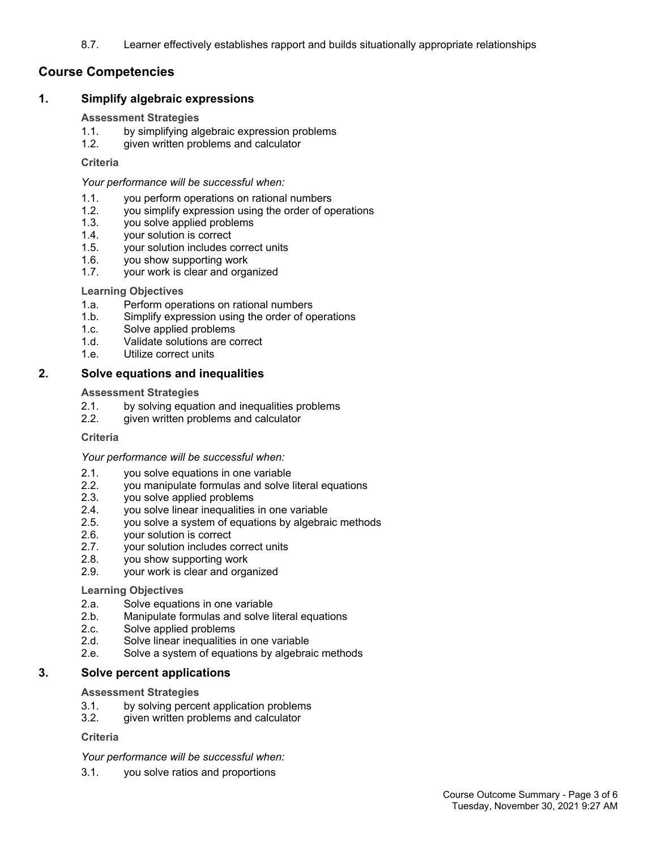8.7. Learner effectively establishes rapport and builds situationally appropriate relationships

# **Course Competencies**

## **1. Simplify algebraic expressions**

### **Assessment Strategies**

- 1.1. by simplifying algebraic expression problems
- 1.2. given written problems and calculator

### **Criteria**

*Your performance will be successful when:*

- 1.1. you perform operations on rational numbers
- 1.2. you simplify expression using the order of operations
- 1.3. you solve applied problems
- 1.4. your solution is correct
- 1.5. your solution includes correct units
- 1.6. you show supporting work
- 1.7. your work is clear and organized

#### **Learning Objectives**

- 1.a. Perform operations on rational numbers
- 1.b. Simplify expression using the order of operations
- 1.c. Solve applied problems
- 1.d. Validate solutions are correct
- 1.e. Utilize correct units

## **2. Solve equations and inequalities**

#### **Assessment Strategies**

- 2.1. by solving equation and inequalities problems
- 2.2. given written problems and calculator

#### **Criteria**

## *Your performance will be successful when:*

- 2.1. you solve equations in one variable
- 2.2. you manipulate formulas and solve literal equations<br>2.3. vou solve applied problems
- you solve applied problems
- 2.4. you solve linear inequalities in one variable
- 2.5. you solve a system of equations by algebraic methods
- 2.6. your solution is correct
- 2.7. your solution includes correct units
- 2.8. you show supporting work
- 2.9. your work is clear and organized

#### **Learning Objectives**

- 2.a. Solve equations in one variable
- 2.b. Manipulate formulas and solve literal equations
- 2.c. Solve applied problems
- 2.d. Solve linear inequalities in one variable
- 2.e. Solve a system of equations by algebraic methods

## **3. Solve percent applications**

#### **Assessment Strategies**

- 3.1. by solving percent application problems
- 3.2. given written problems and calculator

## **Criteria**

## *Your performance will be successful when:*

3.1. you solve ratios and proportions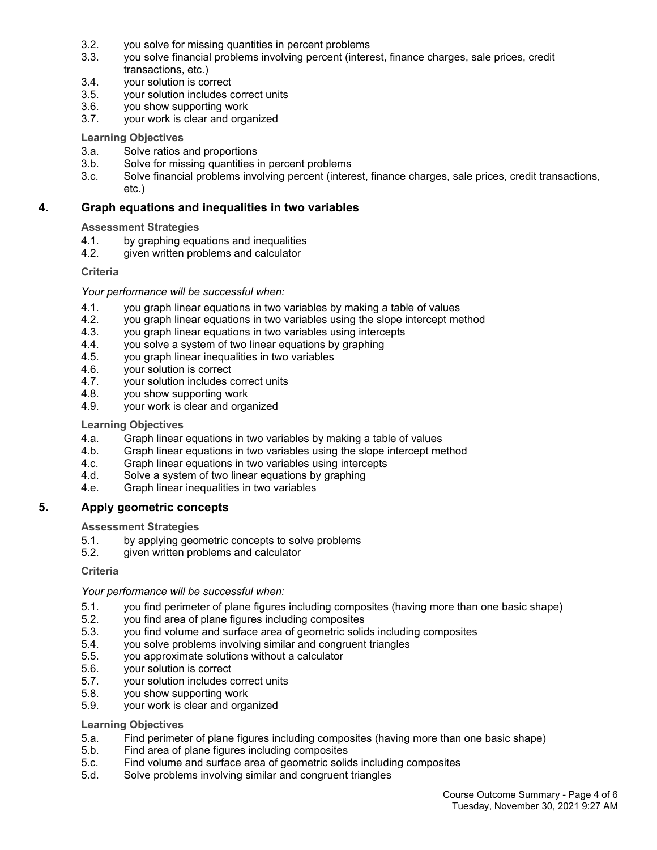- 3.2. you solve for missing quantities in percent problems
- 3.3. you solve financial problems involving percent (interest, finance charges, sale prices, credit transactions, etc.)
- 3.4. your solution is correct
- 3.5. your solution includes correct units
- 3.6. you show supporting work
- 3.7. your work is clear and organized

## **Learning Objectives**

- 3.a. Solve ratios and proportions
- 3.b. Solve for missing quantities in percent problems
- 3.c. Solve financial problems involving percent (interest, finance charges, sale prices, credit transactions, etc.)

## **4. Graph equations and inequalities in two variables**

#### **Assessment Strategies**

- 4.1. by graphing equations and inequalities
- 4.2. given written problems and calculator

#### **Criteria**

#### *Your performance will be successful when:*

- 4.1. you graph linear equations in two variables by making a table of values
- 4.2. you graph linear equations in two variables using the slope intercept method
- 4.3. you graph linear equations in two variables using intercepts
- 4.4. you solve a system of two linear equations by graphing
- 4.5. you graph linear inequalities in two variables
- 4.6. your solution is correct
- 4.7. your solution includes correct units
- 4.8. you show supporting work
- 4.9. your work is clear and organized

#### **Learning Objectives**

- 4.a. Graph linear equations in two variables by making a table of values
- 4.b. Graph linear equations in two variables using the slope intercept method
- 4.c. Graph linear equations in two variables using intercepts
- 4.d. Solve a system of two linear equations by graphing
- 4.e. Graph linear inequalities in two variables

## **5. Apply geometric concepts**

#### **Assessment Strategies**

- 5.1. by applying geometric concepts to solve problems
- 5.2. given written problems and calculator

#### **Criteria**

## *Your performance will be successful when:*

- 5.1. you find perimeter of plane figures including composites (having more than one basic shape)<br>5.2. vou find area of plane figures including composites
- you find area of plane figures including composites
- 5.3. you find volume and surface area of geometric solids including composites
- 5.4. you solve problems involving similar and congruent triangles
- 5.5. you approximate solutions without a calculator
- 5.6. your solution is correct
- 5.7. your solution includes correct units
- 5.8. you show supporting work
- 5.9. your work is clear and organized

#### **Learning Objectives**

- 5.a. Find perimeter of plane figures including composites (having more than one basic shape)
- 5.b. Find area of plane figures including composites
- 5.c. Find volume and surface area of geometric solids including composites
- 5.d. Solve problems involving similar and congruent triangles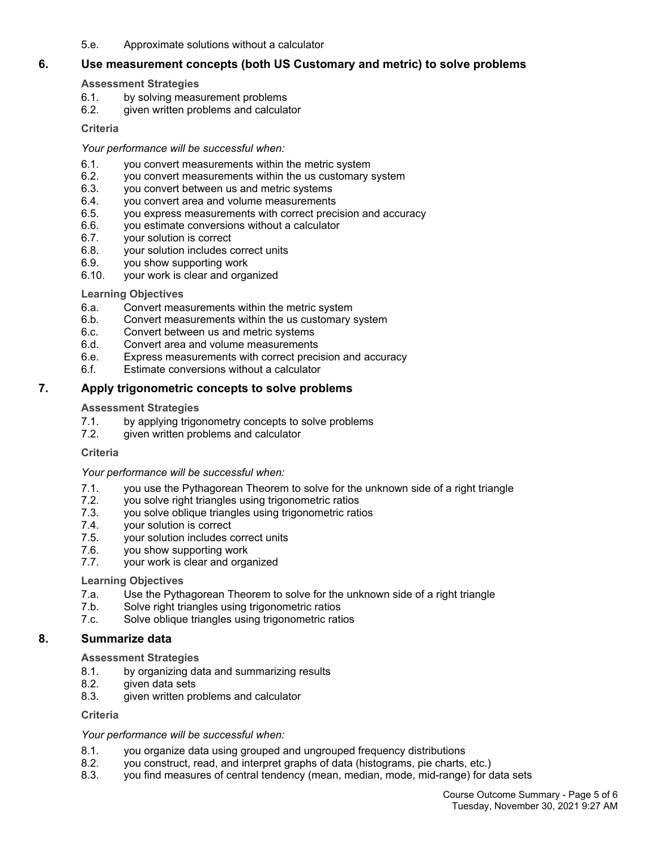5.e. Approximate solutions without a calculator

# **6. Use measurement concepts (both US Customary and metric) to solve problems**

## **Assessment Strategies**

- 6.1. by solving measurement problems
- 6.2. given written problems and calculator

## **Criteria**

*Your performance will be successful when:*

- 6.1. you convert measurements within the metric system
- 6.2. you convert measurements within the us customary system
- 6.3. you convert between us and metric systems
- 6.4. you convert area and volume measurements
- 6.5. you express measurements with correct precision and accuracy
- 6.6. you estimate conversions without a calculator
- 6.7. your solution is correct
- 6.8. your solution includes correct units
- 6.9. you show supporting work
- 6.10. your work is clear and organized

## **Learning Objectives**

- 6.a. Convert measurements within the metric system
- 6.b. Convert measurements within the us customary system
- 6.c. Convert between us and metric systems
- 6.d. Convert area and volume measurements
- 6.e. Express measurements with correct precision and accuracy
- 6.f. Estimate conversions without a calculator

# **7. Apply trigonometric concepts to solve problems**

# **Assessment Strategies**

- 7.1. by applying trigonometry concepts to solve problems
- 7.2. given written problems and calculator

# **Criteria**

# *Your performance will be successful when:*

- 7.1. you use the Pythagorean Theorem to solve for the unknown side of a right triangle
- 7.2. you solve right triangles using trigonometric ratios
- 7.3. you solve oblique triangles using trigonometric ratios
- 7.4. your solution is correct
- 7.5. your solution includes correct units
- 7.6. you show supporting work
- 7.7. your work is clear and organized

# **Learning Objectives**

- 7.a. Use the Pythagorean Theorem to solve for the unknown side of a right triangle
- 7.b. Solve right triangles using trigonometric ratios
- 7.c. Solve oblique triangles using trigonometric ratios

# **8. Summarize data**

## **Assessment Strategies**

- 8.1. by organizing data and summarizing results
- 8.2. given data sets
- 8.3. given written problems and calculator

**Criteria**

## *Your performance will be successful when:*

- 8.1. you organize data using grouped and ungrouped frequency distributions
- 8.2. you construct, read, and interpret graphs of data (histograms, pie charts, etc.)
- 8.3. you find measures of central tendency (mean, median, mode, mid-range) for data sets